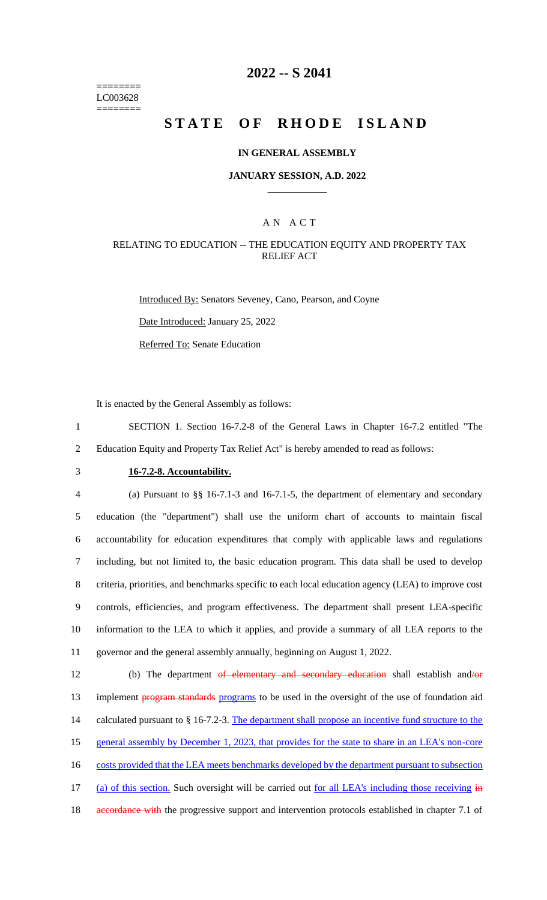======== LC003628 ========

# **2022 -- S 2041**

# **STATE OF RHODE ISLAND**

#### **IN GENERAL ASSEMBLY**

#### **JANUARY SESSION, A.D. 2022 \_\_\_\_\_\_\_\_\_\_\_\_**

#### A N A C T

#### RELATING TO EDUCATION -- THE EDUCATION EQUITY AND PROPERTY TAX RELIEF ACT

Introduced By: Senators Seveney, Cano, Pearson, and Coyne

Date Introduced: January 25, 2022

Referred To: Senate Education

It is enacted by the General Assembly as follows:

1 SECTION 1. Section 16-7.2-8 of the General Laws in Chapter 16-7.2 entitled "The 2 Education Equity and Property Tax Relief Act" is hereby amended to read as follows:

## 3 **16-7.2-8. Accountability.**

 (a) Pursuant to §§ 16-7.1-3 and 16-7.1-5, the department of elementary and secondary education (the "department") shall use the uniform chart of accounts to maintain fiscal accountability for education expenditures that comply with applicable laws and regulations including, but not limited to, the basic education program. This data shall be used to develop 8 criteria, priorities, and benchmarks specific to each local education agency (LEA) to improve cost controls, efficiencies, and program effectiveness. The department shall present LEA-specific information to the LEA to which it applies, and provide a summary of all LEA reports to the governor and the general assembly annually, beginning on August 1, 2022.

12 (b) The department of elementary and secondary education shall establish and/or 13 implement **program standards** programs to be used in the oversight of the use of foundation aid 14 calculated pursuant to § 16-7.2-3. The department shall propose an incentive fund structure to the 15 general assembly by December 1, 2023, that provides for the state to share in an LEA's non-core 16 costs provided that the LEA meets benchmarks developed by the department pursuant to subsection 17 (a) of this section. Such oversight will be carried out <u>for all LEA's including those receiving in</u> 18 accordance with the progressive support and intervention protocols established in chapter 7.1 of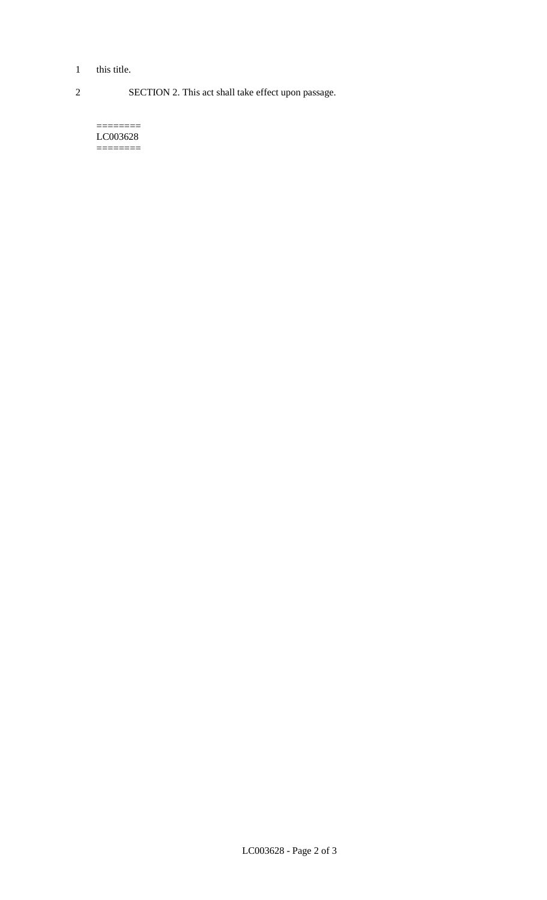- 1 this title.
- 

2 SECTION 2. This act shall take effect upon passage.

======== LC003628 ========